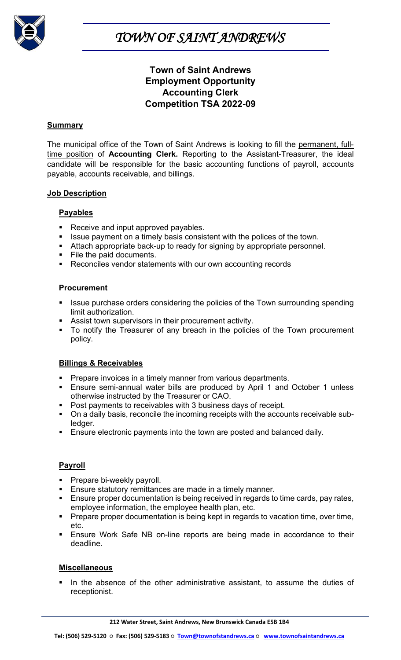

*TOWN OF SAINT ANDREWS* 

## **Town of Saint Andrews Employment Opportunity Accounting Clerk Competition TSA 2022-09**

#### **Summary**

The municipal office of the Town of Saint Andrews is looking to fill the permanent, fulltime position of **Accounting Clerk.** Reporting to the Assistant-Treasurer, the ideal candidate will be responsible for the basic accounting functions of payroll, accounts payable, accounts receivable, and billings.

#### **Job Description**

## **Payables**

- Receive and input approved payables.
- I Issue payment on a timely basis consistent with the polices of the town.
- Attach appropriate back-up to ready for signing by appropriate personnel.
- File the paid documents.
- Reconciles vendor statements with our own accounting records

### **Procurement**

- Issue purchase orders considering the policies of the Town surrounding spending limit authorization.
- Assist town supervisors in their procurement activity.
- To notify the Treasurer of any breach in the policies of the Town procurement policy.

## **Billings & Receivables**

- **Prepare invoices in a timely manner from various departments.**
- **Ensure semi-annual water bills are produced by April 1 and October 1 unless** otherwise instructed by the Treasurer or CAO.
- **Post payments to receivables with 3 business days of receipt.**
- On a daily basis, reconcile the incoming receipts with the accounts receivable subledger.
- **Ensure electronic payments into the town are posted and balanced daily.**

## **Payroll**

- **Prepare bi-weekly payroll.**
- **Ensure statutory remittances are made in a timely manner.**
- **Ensure proper documentation is being received in regards to time cards, pay rates,** employee information, the employee health plan, etc.
- **Prepare proper documentation is being kept in regards to vacation time, over time,** etc.
- Ensure Work Safe NB on-line reports are being made in accordance to their deadline.

## **Miscellaneous**

 In the absence of the other administrative assistant, to assume the duties of receptionist.

**212 Water Street, Saint Andrews, New Brunswick Canada E5B 1B4**

**Tel: (506) 529-5120 ○ Fax: (506) 529-5183 ○ [Town@townofstandrews.ca](mailto:Town@townofstandrews.ca) ○ [www.townofsaintandrews.ca](http://www.townofsaintandrews.ca/)**